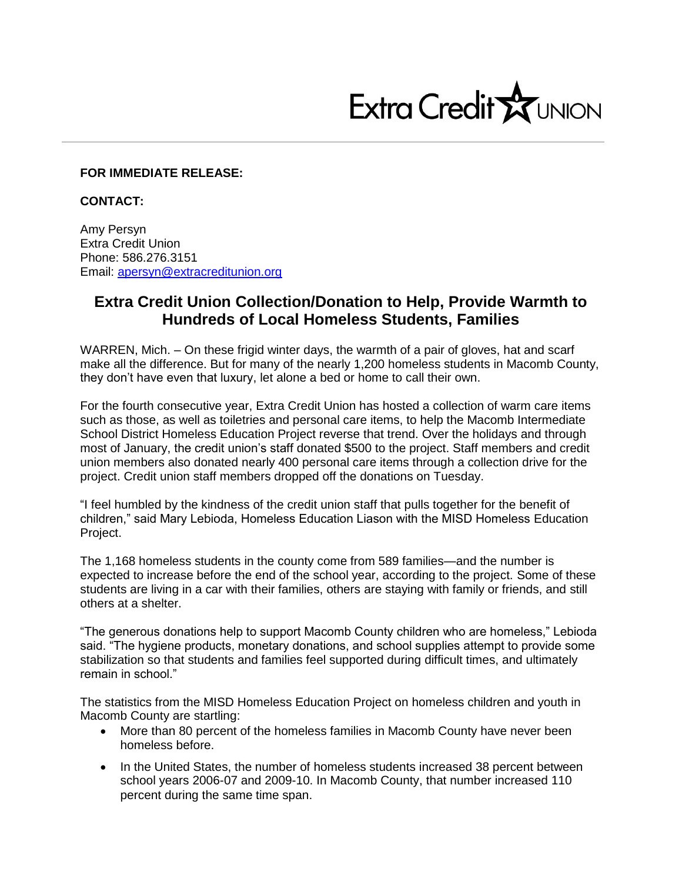

## **FOR IMMEDIATE RELEASE:**

**CONTACT:**

Amy Persyn Extra Credit Union Phone: 586.276.3151 Email: [apersyn@extracreditunion.org](mailto:apersyn@extracreditunion.org)

## **Extra Credit Union Collection/Donation to Help, Provide Warmth to Hundreds of Local Homeless Students, Families**

WARREN, Mich. – On these frigid winter days, the warmth of a pair of gloves, hat and scarf make all the difference. But for many of the nearly 1,200 homeless students in Macomb County, they don't have even that luxury, let alone a bed or home to call their own.

For the fourth consecutive year, Extra Credit Union has hosted a collection of warm care items such as those, as well as toiletries and personal care items, to help the Macomb Intermediate School District Homeless Education Project reverse that trend. Over the holidays and through most of January, the credit union's staff donated \$500 to the project. Staff members and credit union members also donated nearly 400 personal care items through a collection drive for the project. Credit union staff members dropped off the donations on Tuesday.

"I feel humbled by the kindness of the credit union staff that pulls together for the benefit of children," said Mary Lebioda, Homeless Education Liason with the MISD Homeless Education Project.

The 1,168 homeless students in the county come from 589 families—and the number is expected to increase before the end of the school year, according to the project. Some of these students are living in a car with their families, others are staying with family or friends, and still others at a shelter.

"The generous donations help to support Macomb County children who are homeless," Lebioda said. "The hygiene products, monetary donations, and school supplies attempt to provide some stabilization so that students and families feel supported during difficult times, and ultimately remain in school."

The statistics from the MISD Homeless Education Project on homeless children and youth in Macomb County are startling:

- More than 80 percent of the homeless families in Macomb County have never been homeless before.
- In the United States, the number of homeless students increased 38 percent between school years 2006-07 and 2009-10. In Macomb County, that number increased 110 percent during the same time span.